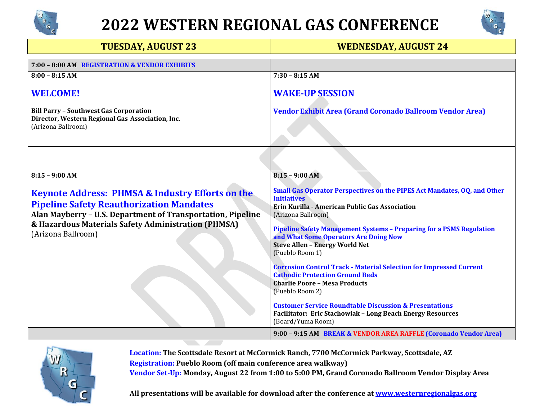



| <b>TUESDAY, AUGUST 23</b>                                                                                                                                                                                                                                  | <b>WEDNESDAY, AUGUST 24</b>                                                                                                                                                                                                                                                                                                                                |
|------------------------------------------------------------------------------------------------------------------------------------------------------------------------------------------------------------------------------------------------------------|------------------------------------------------------------------------------------------------------------------------------------------------------------------------------------------------------------------------------------------------------------------------------------------------------------------------------------------------------------|
| 7:00 - 8:00 AM REGISTRATION & VENDOR EXHIBITS                                                                                                                                                                                                              |                                                                                                                                                                                                                                                                                                                                                            |
| $8:00 - 8:15 AM$                                                                                                                                                                                                                                           | $7:30 - 8:15 AM$                                                                                                                                                                                                                                                                                                                                           |
| <b>WELCOME!</b>                                                                                                                                                                                                                                            | <b>WAKE-UP SESSION</b>                                                                                                                                                                                                                                                                                                                                     |
| <b>Bill Parry - Southwest Gas Corporation</b><br>Director, Western Regional Gas Association, Inc.<br>(Arizona Ballroom)                                                                                                                                    | <b>Vendor Exhibit Area (Grand Coronado Ballroom Vendor Area)</b>                                                                                                                                                                                                                                                                                           |
|                                                                                                                                                                                                                                                            |                                                                                                                                                                                                                                                                                                                                                            |
| $8:15 - 9:00 AM$                                                                                                                                                                                                                                           | $8:15 - 9:00 AM$                                                                                                                                                                                                                                                                                                                                           |
| <b>Keynote Address: PHMSA &amp; Industry Efforts on the</b><br><b>Pipeline Safety Reauthorization Mandates</b><br>Alan Mayberry - U.S. Department of Transportation, Pipeline<br>& Hazardous Materials Safety Administration (PHMSA)<br>(Arizona Ballroom) | Small Gas Operator Perspectives on the PIPES Act Mandates, OQ, and Other<br><b>Initiatives</b><br>Erin Kurilla - American Public Gas Association<br>(Arizona Ballroom)<br><b>Pipeline Safety Management Systems - Preparing for a PSMS Regulation</b><br>and What Some Operators Are Doing Now<br><b>Steve Allen - Energy World Net</b><br>(Pueblo Room 1) |
|                                                                                                                                                                                                                                                            | <b>Corrosion Control Track - Material Selection for Impressed Current</b><br><b>Cathodic Protection Ground Beds</b><br><b>Charlie Poore - Mesa Products</b><br>(Pueblo Room 2)<br><b>Customer Service Roundtable Discussion &amp; Presentations</b><br>Facilitator: Eric Stachowiak - Long Beach Energy Resources<br>(Board/Yuma Room)                     |
|                                                                                                                                                                                                                                                            | 9:00 - 9:15 AM BREAK & VENDOR AREA RAFFLE (Coronado Vendor Area)                                                                                                                                                                                                                                                                                           |



**Location: The Scottsdale Resort at McCormick Ranch, 7700 McCormick Parkway, Scottsdale, AZ Registration: Pueblo Room (off main conference area walkway) Vendor Set-Up: Monday, August 22 from 1:00 to 5:00 PM, Grand Coronado Ballroom Vendor Display Area**

**All presentations will be available for download after the conference a[t www.westernregionalgas.org](http://www.westernregionalgas.org/)**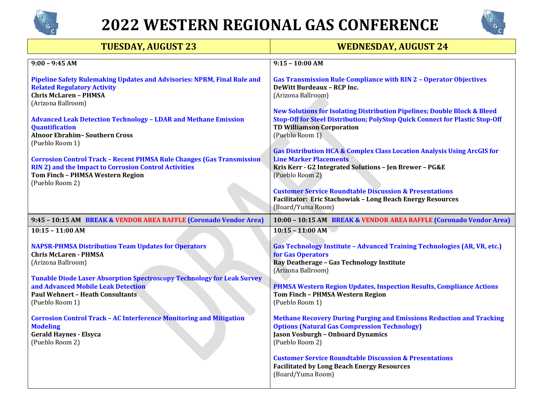



| <b>TUESDAY, AUGUST 23</b>                                                                                                                                                                           | <b>WEDNESDAY, AUGUST 24</b>                                                                                                                                                                                                |
|-----------------------------------------------------------------------------------------------------------------------------------------------------------------------------------------------------|----------------------------------------------------------------------------------------------------------------------------------------------------------------------------------------------------------------------------|
| $9:00 - 9:45 AM$                                                                                                                                                                                    | $9:15 - 10:00$ AM                                                                                                                                                                                                          |
| Pipeline Safety Rulemaking Updates and Advisories: NPRM, Final Rule and<br><b>Related Regulatory Activity</b><br><b>Chris McLaren - PHMSA</b><br>(Arizona Ballroom)                                 | <b>Gas Transmission Rule Compliance with RIN 2 - Operator Objectives</b><br>DeWitt Burdeaux - RCP Inc.<br>(Arizona Ballroom)                                                                                               |
| <b>Advanced Leak Detection Technology - LDAR and Methane Emission</b><br><b>Quantification</b><br><b>Alnoor Ebrahim-Southern Cross</b><br>(Pueblo Room 1)                                           | <b>New Solutions for Isolating Distribution Pipelines; Double Block &amp; Bleed</b><br>Stop-Off for Steel Distribution; PolyStop Quick Connect for Plastic Stop-Off<br><b>TD Williamson Corporation</b><br>(Pueblo Room 1) |
| <b>Corrosion Control Track - Recent PHMSA Rule Changes (Gas Transmission</b><br><b>RIN 2) and the Impact to Corrosion Control Activities</b><br>Tom Finch - PHMSA Western Region<br>(Pueblo Room 2) | <b>Gas Distribution HCA &amp; Complex Class Location Analysis Using ArcGIS for</b><br><b>Line Marker Placements</b><br>Kris Kerr - G2 Integrated Solutions - Jen Brewer - PG&E<br>(Pueblo Room 2)                          |
|                                                                                                                                                                                                     | <b>Customer Service Roundtable Discussion &amp; Presentations</b><br>Facilitator: Eric Stachowiak - Long Beach Energy Resources<br>(Board/Yuma Room)                                                                       |
| 9:45 - 10:15 AM BREAK & VENDOR AREA RAFFLE (Coronado Vendor Area)                                                                                                                                   | 10:00 - 10:15 AM BREAK & VENDOR AREA RAFFLE (Coronado Vendor Area)                                                                                                                                                         |
| $10:15 - 11:00$ AM                                                                                                                                                                                  | $10:15 - 11:00$ AM                                                                                                                                                                                                         |
| <b>NAPSR-PHMSA Distribution Team Updates for Operators</b><br><b>Chris McLaren - PHMSA</b><br>(Arizona Ballroom)                                                                                    | <b>Gas Technology Institute - Advanced Training Technologies (AR, VR, etc.)</b><br>for Gas Operators<br>Ray Deatherage - Gas Technology Institute<br>(Arizona Ballroom)                                                    |
| <b>Tunable Diode Laser Absorption Spectroscopy Technology for Leak Survey</b><br>and Advanced Mobile Leak Detection<br><b>Paul Wehnert - Heath Consultants</b><br>(Pueblo Room 1)                   | <b>PHMSA Western Region Updates, Inspection Results, Compliance Actions</b><br>Tom Finch - PHMSA Western Region<br>(Pueblo Room 1)                                                                                         |
| <b>Corrosion Control Track - AC Interference Monitoring and Mitigation</b><br><b>Modeling</b><br><b>Gerald Haynes - Elsyca</b><br>(Pueblo Room 2)                                                   | <b>Methane Recovery During Purging and Emissions Reduction and Tracking</b><br><b>Options (Natural Gas Compression Technology)</b><br><b>Jason Vosburgh - Onboard Dynamics</b><br>(Pueblo Room 2)                          |
|                                                                                                                                                                                                     | <b>Customer Service Roundtable Discussion &amp; Presentations</b><br><b>Facilitated by Long Beach Energy Resources</b><br>(Board/Yuma Room)                                                                                |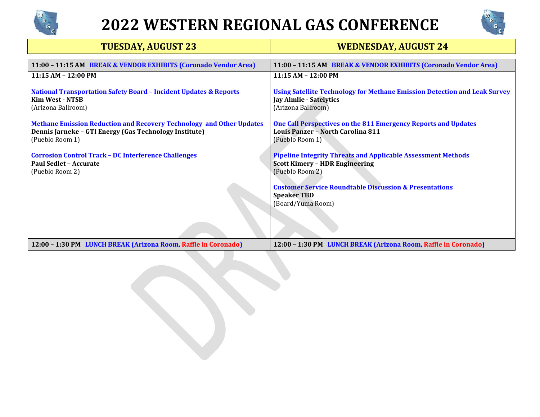



| <b>TUESDAY, AUGUST 23</b>                                                                                                                                | <b>WEDNESDAY, AUGUST 24</b>                                                                                                              |
|----------------------------------------------------------------------------------------------------------------------------------------------------------|------------------------------------------------------------------------------------------------------------------------------------------|
| 11:00 - 11:15 AM BREAK & VENDOR EXHIBITS (Coronado Vendor Area)                                                                                          | 11:00 - 11:15 AM BREAK & VENDOR EXHIBITS (Coronado Vendor Area)                                                                          |
| 11:15 AM - 12:00 PM                                                                                                                                      | 11:15 AM - 12:00 PM                                                                                                                      |
| <b>National Transportation Safety Board - Incident Updates &amp; Reports</b><br><b>Kim West - NTSB</b><br>(Arizona Ballroom)                             | <b>Using Satellite Technology for Methane Emission Detection and Leak Survey</b><br><b>Jay Almlie - Satelytics</b><br>(Arizona Ballroom) |
| <b>Methane Emission Reduction and Recovery Technology and Other Updates</b><br>Dennis Jarneke - GTI Energy (Gas Technology Institute)<br>(Pueblo Room 1) | One Call Perspectives on the 811 Emergency Reports and Updates<br>Louis Panzer - North Carolina 811<br>(Pueblo Room 1)                   |
| <b>Corrosion Control Track - DC Interference Challenges</b><br>Paul Sedlet - Accurate<br>(Pueblo Room 2)                                                 | <b>Pipeline Integrity Threats and Applicable Assessment Methods</b><br><b>Scott Kimery - HDR Engineering</b><br>(Pueblo Room 2)          |
|                                                                                                                                                          | <b>Customer Service Roundtable Discussion &amp; Presentations</b><br><b>Speaker TBD</b><br>(Board/Yuma Room)                             |
| 12:00 - 1:30 PM LUNCH BREAK (Arizona Room, Raffle in Coronado)                                                                                           | 12:00 - 1:30 PM LUNCH BREAK (Arizona Room, Raffle in Coronado)                                                                           |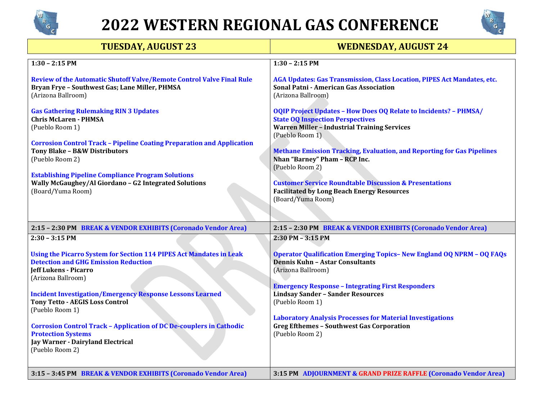



| <b>TUESDAY, AUGUST 23</b>                                                                                                                                                | <b>WEDNESDAY, AUGUST 24</b>                                                                                                                                               |
|--------------------------------------------------------------------------------------------------------------------------------------------------------------------------|---------------------------------------------------------------------------------------------------------------------------------------------------------------------------|
| $1:30 - 2:15$ PM                                                                                                                                                         | $1:30 - 2:15$ PM                                                                                                                                                          |
| Review of the Automatic Shutoff Valve/Remote Control Valve Final Rule<br>Bryan Frye - Southwest Gas; Lane Miller, PHMSA<br>(Arizona Ballroom)                            | AGA Updates: Gas Transmission, Class Location, PIPES Act Mandates, etc.<br>Sonal Patni - American Gas Association<br>(Arizona Ballroom)                                   |
| <b>Gas Gathering Rulemaking RIN 3 Updates</b><br><b>Chris McLaren - PHMSA</b><br>(Pueblo Room 1)                                                                         | <b>OQIP Project Updates - How Does OQ Relate to Incidents? - PHMSA/</b><br><b>State OQ Inspection Perspectives</b><br><b>Warren Miller - Industrial Training Services</b> |
| <b>Corrosion Control Track - Pipeline Coating Preparation and Application</b><br><b>Tony Blake - B&amp;W Distributors</b><br>(Pueblo Room 2)                             | (Pueblo Room 1)<br><b>Methane Emission Tracking, Evaluation, and Reporting for Gas Pipelines</b><br>Nhan "Barney" Pham - RCP Inc.<br>(Pueblo Room 2)                      |
| <b>Establishing Pipeline Compliance Program Solutions</b><br>Wally McGaughey/Al Giordano - G2 Integrated Solutions<br>(Board/Yuma Room)                                  | <b>Customer Service Roundtable Discussion &amp; Presentations</b><br><b>Facilitated by Long Beach Energy Resources</b><br>(Board/Yuma Room)                               |
| 2:15 - 2:30 PM BREAK & VENDOR EXHIBITS (Coronado Vendor Area)                                                                                                            | 2:15 - 2:30 PM BREAK & VENDOR EXHIBITS (Coronado Vendor Area)                                                                                                             |
| $2:30 - 3:15$ PM                                                                                                                                                         | 2:30 PM - 3:15 PM                                                                                                                                                         |
| Using the Picarro System for Section 114 PIPES Act Mandates in Leak<br><b>Detection and GHG Emission Reduction</b><br><b>Jeff Lukens - Picarro</b><br>(Arizona Ballroom) | <b>Operator Qualification Emerging Topics- New England OQ NPRM - OQ FAQs</b><br><b>Dennis Kuhn - Astar Consultants</b><br>(Arizona Ballroom)                              |
| <b>Incident Investigation/Emergency Response Lessons Learned</b><br><b>Tony Tetto - AEGIS Loss Control</b><br>(Pueblo Room 1)                                            | <b>Emergency Response - Integrating First Responders</b><br><b>Lindsay Sander - Sander Resources</b><br>(Pueblo Room 1)                                                   |
| <b>Corrosion Control Track - Application of DC De-couplers in Cathodic</b><br><b>Protection Systems</b><br>Jay Warner - Dairyland Electrical<br>(Pueblo Room 2)          | <b>Laboratory Analysis Processes for Material Investigations</b><br><b>Greg Efthemes - Southwest Gas Corporation</b><br>(Pueblo Room 2)                                   |
| 3:15 - 3:45 PM BREAK & VENDOR EXHIBITS (Coronado Vendor Area)                                                                                                            | 3:15 PM ADJOURNMENT & GRAND PRIZE RAFFLE (Coronado Vendor Area)                                                                                                           |